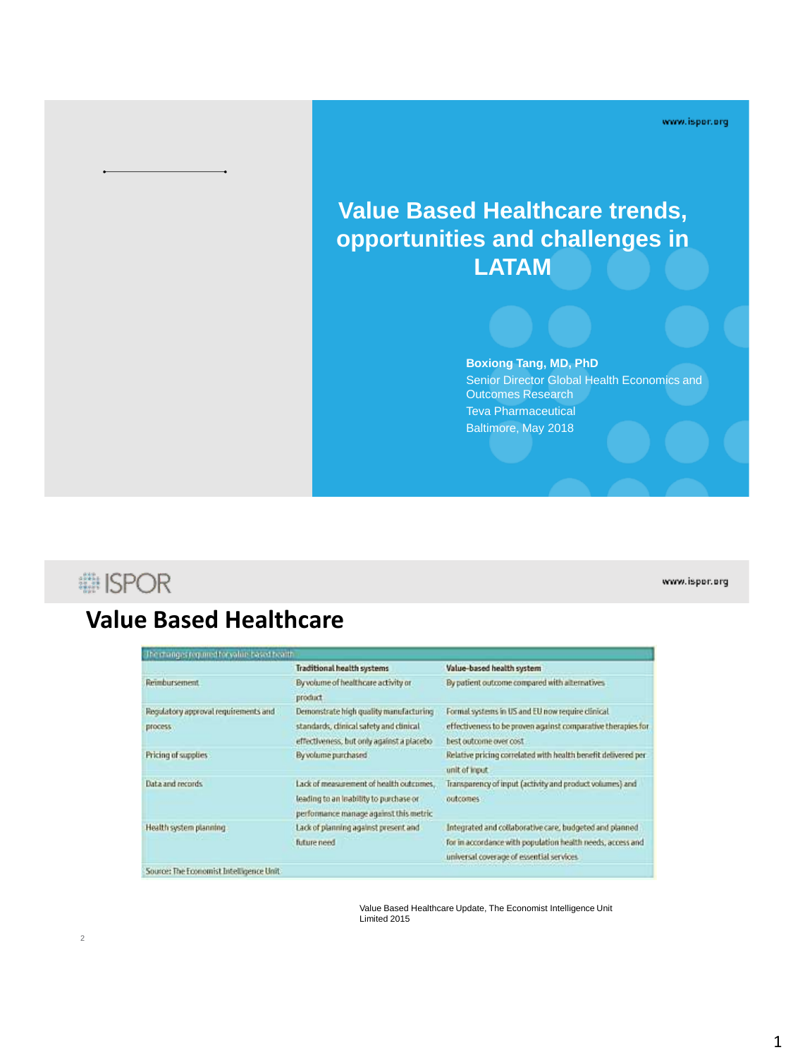www.ispor.org

## **Value Based Healthcare trends, opportunities and challenges in LATAM**

#### **Boxiong Tang, MD, PhD**

Senior Director Global Health Economics and Outcomes Research Teva Pharmaceutical Baltimore, May 2018

## **i ISPOR**

#### www.ispor.org

## **Value Based Healthcare**

|                                      | <b>Traditional health systems</b>          | Value-based health system                                     |
|--------------------------------------|--------------------------------------------|---------------------------------------------------------------|
| Reimbursement.                       | By volume of healthcare activity or        | By patient outcome compared with alternatives                 |
|                                      | product                                    |                                                               |
| Regulatory approval requirements and | Demonstrate high quality manufacturing     | Formal systems in US and EU now require clinical              |
| bucces?                              | standards, clinical safety and clinical    | effectiveness to be proven against comparative therapies for  |
|                                      | effectiveness, but only against a placebo- | best outcome over cost.                                       |
| Pricing of supplies                  | By volume purchased                        | Relative pricing correlated with health benefit delivered per |
|                                      |                                            | unit of input                                                 |
| Data and records                     | Lack of measurement of health outcomes.    | Transparency of input (activity and product volumes) and      |
|                                      | leading to an leability to purchase or     | outcomes                                                      |
|                                      | performance manage against this metric     |                                                               |
| Health system planning.              | Lack of planning against present and       | Integrated and collaborative care, budgeted and planned       |
|                                      | future need                                | for in accordance with population health needs, access and    |
|                                      |                                            | universal coverage of essential services.                     |

Value Based Healthcare Update, The Economist Intelligence Unit Limited 2015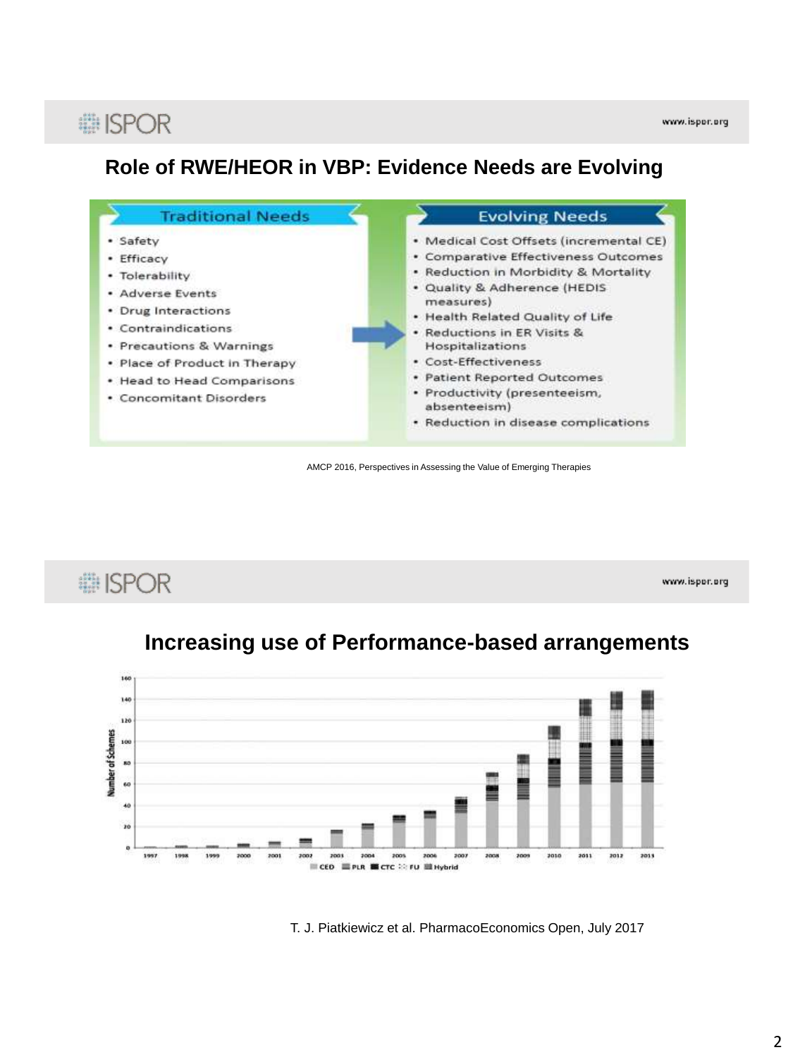# **# ISPOR**

### **Role of RWE/HEOR in VBP: Evidence Needs are Evolving**



AMCP 2016, Perspectives in Assessing the Value of Emerging Therapies

# **... ISPOR**

www.ispor.org





T. J. Piatkiewicz et al. PharmacoEconomics Open, July 2017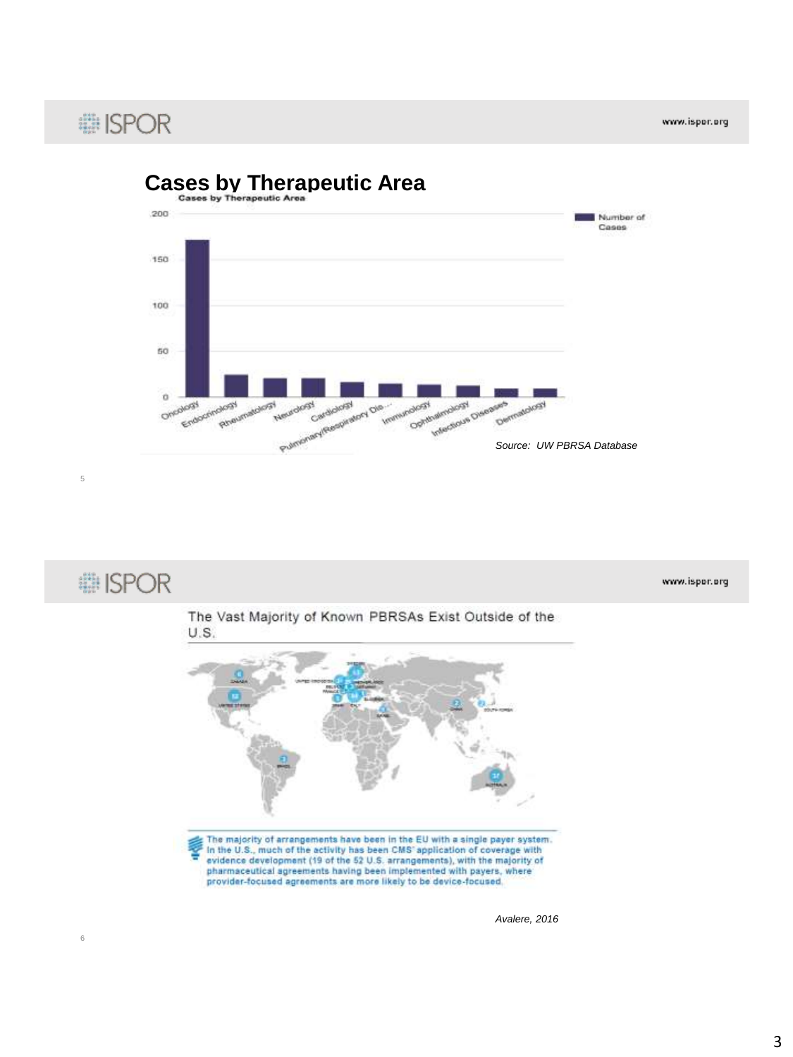www.ispor.org

# : ISPOR

5

6





The majority of arrangements have been in the EU with a single payer system.<br>In the U.S., much of the activity has been CMS' application of coverage with evidence development (19 of the 52 U.S. arrangements), with the majority of pharmaceutical agreements having been implemented with payers, where provider-focused agreements are more likely to be device-focused.

*Avalere, 2016*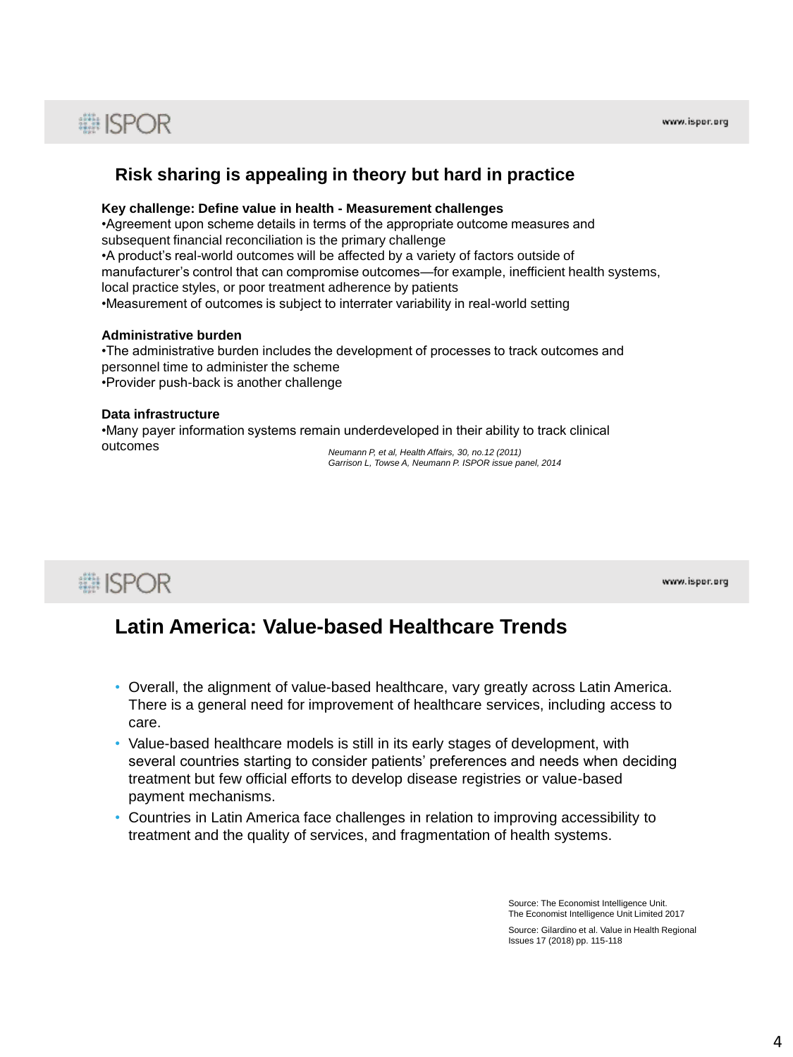# **■ISPOR**

### **Risk sharing is appealing in theory but hard in practice**

#### **Key challenge: Define value in health - Measurement challenges**

•Agreement upon scheme details in terms of the appropriate outcome measures and subsequent financial reconciliation is the primary challenge

•A product's real-world outcomes will be affected by a variety of factors outside of manufacturer's control that can compromise outcomes—for example, inefficient health systems, local practice styles, or poor treatment adherence by patients •Measurement of outcomes is subject to interrater variability in real-world setting

#### **Administrative burden**

•The administrative burden includes the development of processes to track outcomes and personnel time to administer the scheme •Provider push-back is another challenge

#### **Data infrastructure**

•Many payer information systems remain underdeveloped in their ability to track clinical outcomes *Neumann P, et al, Health Affairs, 30, no.12 (2011)*

*Garrison L, Towse A, Neumann P. ISPOR issue panel, 2014*

**i ISPOR** 

www.ispor.org

### **Latin America: Value-based Healthcare Trends**

- Overall, the alignment of value-based healthcare, vary greatly across Latin America. There is a general need for improvement of healthcare services, including access to care.
- Value-based healthcare models is still in its early stages of development, with several countries starting to consider patients' preferences and needs when deciding treatment but few official efforts to develop disease registries or value-based payment mechanisms.
- Countries in Latin America face challenges in relation to improving accessibility to treatment and the quality of services, and fragmentation of health systems.

Source: The Economist Intelligence Unit. The Economist Intelligence Unit Limited 2017 Source: Gilardino et al. Value in Health Regional Issues 17 (2018) pp. 115-118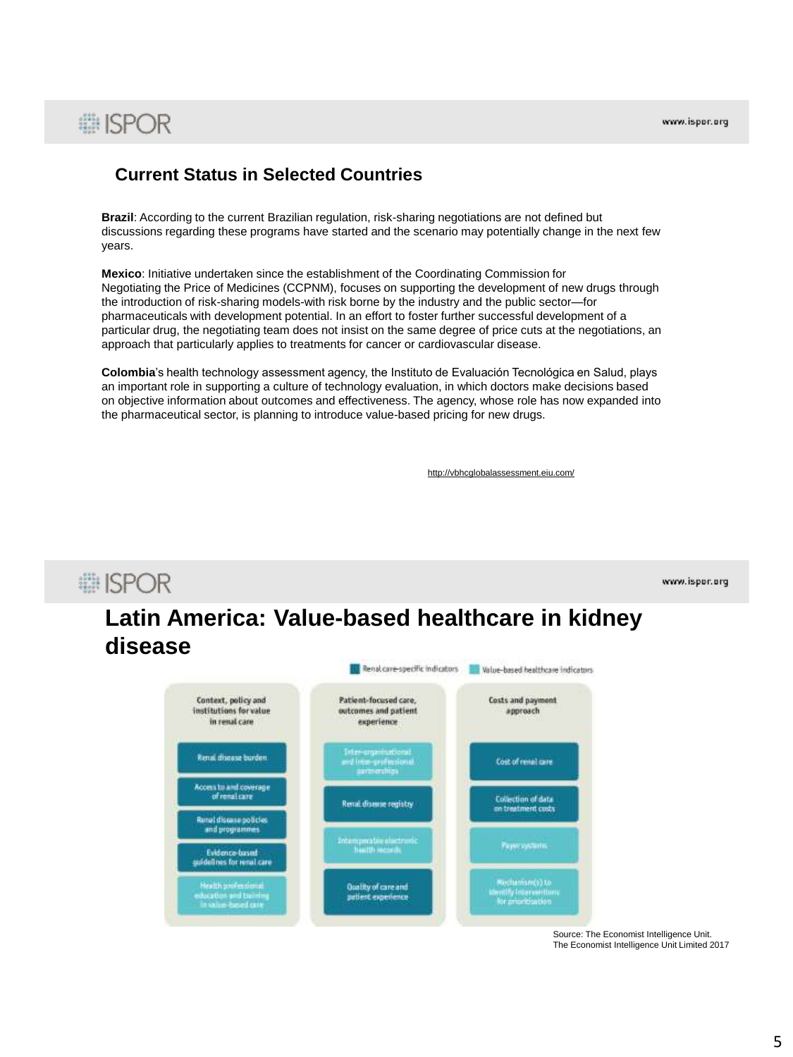# **# ISPOR**

### **Current Status in Selected Countries**

**Brazil**: According to the current Brazilian regulation, risk-sharing negotiations are not defined but discussions regarding these programs have started and the scenario may potentially change in the next few years.

**Mexico**: Initiative undertaken since the establishment of the Coordinating Commission for Negotiating the Price of Medicines (CCPNM), focuses on supporting the development of new drugs through the introduction of risk-sharing models-with risk borne by the industry and the public sector—for pharmaceuticals with development potential. In an effort to foster further successful development of a particular drug, the negotiating team does not insist on the same degree of price cuts at the negotiations, an approach that particularly applies to treatments for cancer or cardiovascular disease.

**Colombia**'s health technology assessment agency, the Instituto de Evaluación Tecnológica en Salud, plays an important role in supporting a culture of technology evaluation, in which doctors make decisions based on objective information about outcomes and effectiveness. The agency, whose role has now expanded into the pharmaceutical sector, is planning to introduce value-based pricing for new drugs.

http://vbhcglobalassessment.eiu.com/

# **■ISPOR**

www.ispor.org

## **Latin America: Value-based healthcare in kidney disease**



Source: The Economist Intelligence Unit. The Economist Intelligence Unit Limited 2017